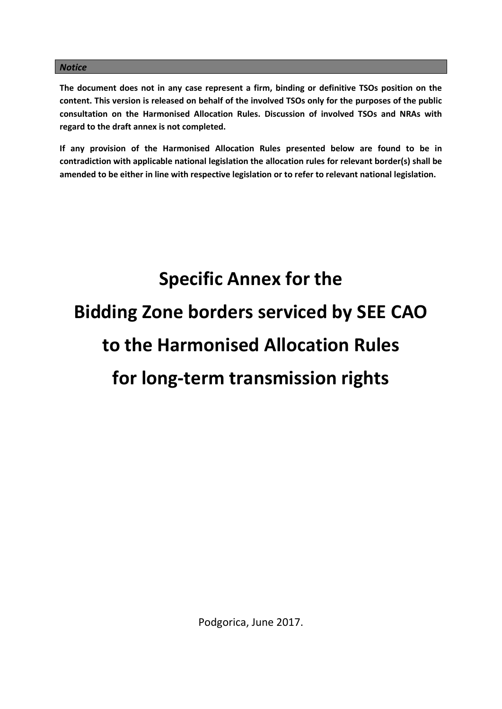#### *Notice*

**The document does not in any case represent a firm, binding or definitive TSOs position on the content. This version is released on behalf of the involved TSOs only for the purposes of the public consultation on the Harmonised Allocation Rules. Discussion of involved TSOs and NRAs with regard to the draft annex is not completed.**

**If any provision of the Harmonised Allocation Rules presented below are found to be in contradiction with applicable national legislation the allocation rules for relevant border(s) shall be amended to be either in line with respective legislation or to refer to relevant national legislation.**

# **Specific Annex for the Bidding Zone borders serviced by SEE CAO to the Harmonised Allocation Rules for long-term transmission rights**

Podgorica, June 2017.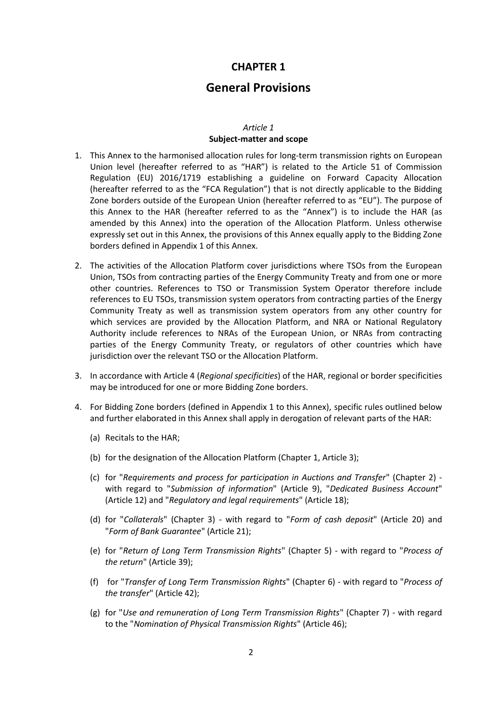# **CHAPTER 1**

# **General Provisions**

#### *Article 1* **Subject-matter and scope**

- 1. This Annex to the harmonised allocation rules for long-term transmission rights on European Union level (hereafter referred to as "HAR") is related to the Article 51 of Commission Regulation (EU) 2016/1719 establishing a guideline on Forward Capacity Allocation (hereafter referred to as the "FCA Regulation") that is not directly applicable to the Bidding Zone borders outside of the European Union (hereafter referred to as "EU"). The purpose of this Annex to the HAR (hereafter referred to as the "Annex") is to include the HAR (as amended by this Annex) into the operation of the Allocation Platform. Unless otherwise expressly set out in this Annex, the provisions of this Annex equally apply to the Bidding Zone borders defined in Appendix 1 of this Annex.
- 2. The activities of the Allocation Platform cover jurisdictions where TSOs from the European Union, TSOs from contracting parties of the Energy Community Treaty and from one or more other countries. References to TSO or Transmission System Operator therefore include references to EU TSOs, transmission system operators from contracting parties of the Energy Community Treaty as well as transmission system operators from any other country for which services are provided by the Allocation Platform, and NRA or National Regulatory Authority include references to NRAs of the European Union, or NRAs from contracting parties of the Energy Community Treaty, or regulators of other countries which have jurisdiction over the relevant TSO or the Allocation Platform.
- 3. In accordance with Article 4 (*Regional specificities*) of the HAR, regional or border specificities may be introduced for one or more Bidding Zone borders.
- 4. For Bidding Zone borders (defined in Appendix 1 to this Annex), specific rules outlined below and further elaborated in this Annex shall apply in derogation of relevant parts of the HAR:
	- (a) Recitals to the HAR;
	- (b) for the designation of the Allocation Platform (Chapter 1, Article 3);
	- (c) for "*Requirements and process for participation in Auctions and Transfer*" (Chapter 2) with regard to "*Submission of information*" (Article 9), "*Dedicated Business Account*" (Article 12) and "*Regulatory and legal requirements*" (Article 18);
	- (d) for "*Collaterals*" (Chapter 3) with regard to "*Form of cash deposit*" (Article 20) and "*Form of Bank Guarantee*" (Article 21);
	- (e) for "*Return of Long Term Transmission Rights*" (Chapter 5) with regard to "*Process of the return*" (Article 39);
	- (f) for "*Transfer of Long Term Transmission Rights*" (Chapter 6) with regard to "*Process of the transfer*" (Article 42);
	- (g) for "*Use and remuneration of Long Term Transmission Rights*" (Chapter 7) with regard to the "*Nomination of Physical Transmission Rights*" (Article 46);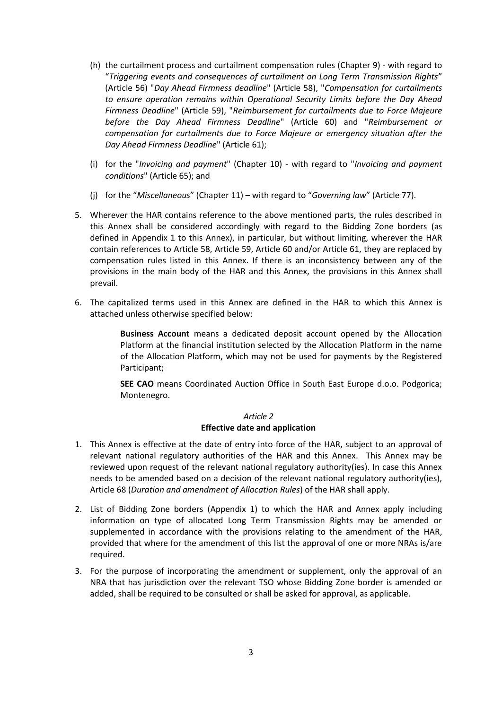- (h) the curtailment process and curtailment compensation rules (Chapter 9) with regard to "*Triggering events and consequences of curtailment on Long Term Transmission Rights*" (Article 56) "*Day Ahead Firmness deadline*" (Article 58), "*Compensation for curtailments to ensure operation remains within Operational Security Limits before the Day Ahead Firmness Deadline*" (Article 59), "*Reimbursement for curtailments due to Force Majeure before the Day Ahead Firmness Deadline*" (Article 60) and "*Reimbursement or compensation for curtailments due to Force Majeure or emergency situation after the Day Ahead Firmness Deadline*" (Article 61);
- (i) for the "*Invoicing and payment*" (Chapter 10) with regard to "*Invoicing and payment conditions*" (Article 65); and
- (j) for the "*Miscellaneous*" (Chapter 11) with regard to "*Governing law*" (Article 77).
- 5. Wherever the HAR contains reference to the above mentioned parts, the rules described in this Annex shall be considered accordingly with regard to the Bidding Zone borders (as defined in Appendix 1 to this Annex), in particular, but without limiting, wherever the HAR contain references to Article 58, Article 59, Article 60 and/or Article 61, they are replaced by compensation rules listed in this Annex. If there is an inconsistency between any of the provisions in the main body of the HAR and this Annex, the provisions in this Annex shall prevail.
- 6. The capitalized terms used in this Annex are defined in the HAR to which this Annex is attached unless otherwise specified below:

**Business Account** means a dedicated deposit account opened by the Allocation Platform at the financial institution selected by the Allocation Platform in the name of the Allocation Platform, which may not be used for payments by the Registered Participant;

**SEE CAO** means Coordinated Auction Office in South East Europe d.o.o. Podgorica; Montenegro.

#### *Article 2* **Effective date and application**

- 1. This Annex is effective at the date of entry into force of the HAR, subject to an approval of relevant national regulatory authorities of the HAR and this Annex. This Annex may be reviewed upon request of the relevant national regulatory authority(ies). In case this Annex needs to be amended based on a decision of the relevant national regulatory authority(ies), Article 68 (*Duration and amendment of Allocation Rules*) of the HAR shall apply.
- 2. List of Bidding Zone borders (Appendix 1) to which the HAR and Annex apply including information on type of allocated Long Term Transmission Rights may be amended or supplemented in accordance with the provisions relating to the amendment of the HAR, provided that where for the amendment of this list the approval of one or more NRAs is/are required.
- 3. For the purpose of incorporating the amendment or supplement, only the approval of an NRA that has jurisdiction over the relevant TSO whose Bidding Zone border is amended or added, shall be required to be consulted or shall be asked for approval, as applicable.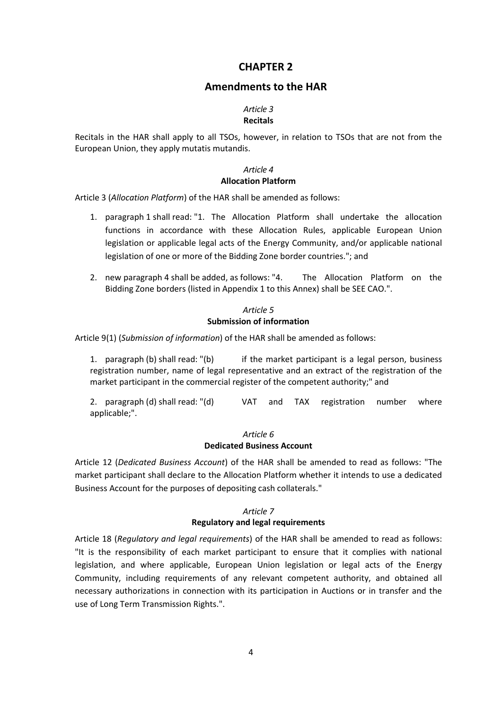# **CHAPTER 2**

# **Amendments to the HAR**

#### *Article 3* **Recitals**

#### Recitals in the HAR shall apply to all TSOs, however, in relation to TSOs that are not from the European Union, they apply mutatis mutandis.

# *Article 4*

# **Allocation Platform**

Article 3 (*Allocation Platform*) of the HAR shall be amended as follows:

- 1. paragraph 1 shall read: "1. The Allocation Platform shall undertake the allocation functions in accordance with these Allocation Rules, applicable European Union legislation or applicable legal acts of the Energy Community, and/or applicable national legislation of one or more of the Bidding Zone border countries."; and
- 2. new paragraph 4 shall be added, as follows: "4. The Allocation Platform on the Bidding Zone borders (listed in Appendix 1 to this Annex) shall be SEE CAO.".

#### *Article 5* **Submission of information**

Article 9(1) (*Submission of information*) of the HAR shall be amended as follows:

1. paragraph (b) shall read: "(b) if the market participant is a legal person, business registration number, name of legal representative and an extract of the registration of the market participant in the commercial register of the competent authority;" and

2. paragraph (d) shall read: "(d) VAT and TAX registration number where applicable;".

#### *Article 6* **Dedicated Business Account**

Article 12 (*Dedicated Business Account*) of the HAR shall be amended to read as follows: "The market participant shall declare to the Allocation Platform whether it intends to use a dedicated Business Account for the purposes of depositing cash collaterals."

## *Article 7* **Regulatory and legal requirements**

Article 18 (*Regulatory and legal requirements*) of the HAR shall be amended to read as follows: "It is the responsibility of each market participant to ensure that it complies with national legislation, and where applicable, European Union legislation or legal acts of the Energy Community, including requirements of any relevant competent authority, and obtained all necessary authorizations in connection with its participation in Auctions or in transfer and the use of Long Term Transmission Rights.".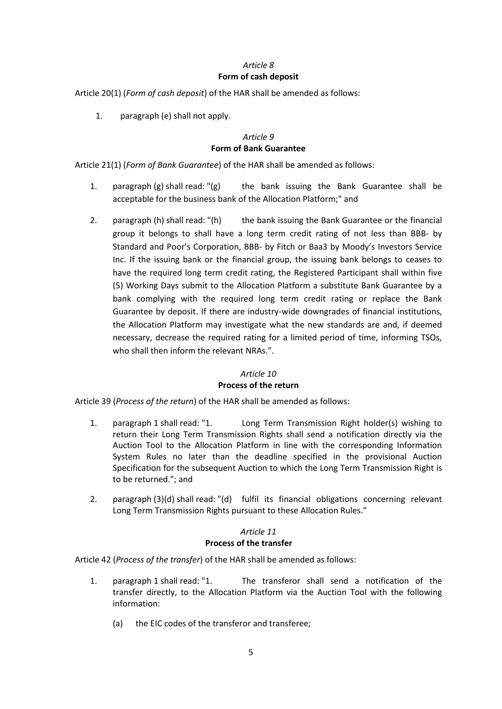# *Article 8* **Form of cash deposit**

Article 20(1) (*Form of cash deposit*) of the HAR shall be amended as follows:

1. paragraph (e) shall not apply.

## *Article 9* **Form of Bank Guarantee**

Article 21(1) (*Form of Bank Guarantee*) of the HAR shall be amended as follows:

- 1. paragraph (g) shall read: "(g) the bank issuing the Bank Guarantee shall be acceptable for the business bank of the Allocation Platform;" and
- 2. paragraph (h) shall read: "(h) the bank issuing the Bank Guarantee or the financial group it belongs to shall have a long term credit rating of not less than BBB- by Standard and Poor's Corporation, BBB- by Fitch or Baa3 by Moody's Investors Service Inc. If the issuing bank or the financial group, the issuing bank belongs to ceases to have the required long term credit rating, the Registered Participant shall within five (5) Working Days submit to the Allocation Platform a substitute Bank Guarantee by a bank complying with the required long term credit rating or replace the Bank Guarantee by deposit. If there are industry-wide downgrades of financial institutions, the Allocation Platform may investigate what the new standards are and, if deemed necessary, decrease the required rating for a limited period of time, informing TSOs, who shall then inform the relevant NRAs.".

#### *Article 10*

#### **Process of the return**

Article 39 (*Process of the return*) of the HAR shall be amended as follows:

- 1. paragraph 1 shall read: "1. Long Term Transmission Right holder(s) wishing to return their Long Term Transmission Rights shall send a notification directly via the Auction Tool to the Allocation Platform in line with the corresponding Information System Rules no later than the deadline specified in the provisional Auction Specification for the subsequent Auction to which the Long Term Transmission Right is to be returned."; and
- 2. paragraph (3)(d) shall read: "(d) fulfil its financial obligations concerning relevant Long Term Transmission Rights pursuant to these Allocation Rules."

#### *Article 11*

#### **Process of the transfer**

Article 42 (*Process of the transfer*) of the HAR shall be amended as follows:

- 1. paragraph 1 shall read: "1. The transferor shall send a notification of the transfer directly, to the Allocation Platform via the Auction Tool with the following information:
	- (a) the EIC codes of the transferor and transferee;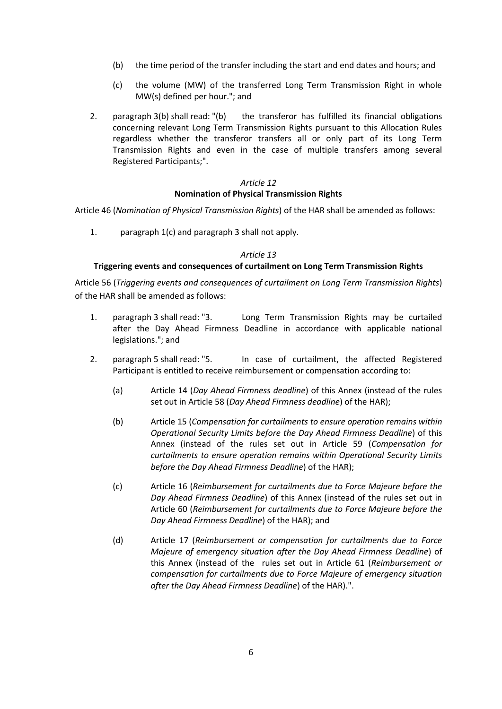- (b) the time period of the transfer including the start and end dates and hours; and
- (c) the volume (MW) of the transferred Long Term Transmission Right in whole MW(s) defined per hour."; and
- 2. paragraph 3(b) shall read: "(b) the transferor has fulfilled its financial obligations concerning relevant Long Term Transmission Rights pursuant to this Allocation Rules regardless whether the transferor transfers all or only part of its Long Term Transmission Rights and even in the case of multiple transfers among several Registered Participants;".

# *Article 12* **Nomination of Physical Transmission Rights**

Article 46 (*Nomination of Physical Transmission Rights*) of the HAR shall be amended as follows:

1. paragraph 1(c) and paragraph 3 shall not apply.

#### *Article 13*

#### **Triggering events and consequences of curtailment on Long Term Transmission Rights**

Article 56 (*Triggering events and consequences of curtailment on Long Term Transmission Rights*) of the HAR shall be amended as follows:

- 1. paragraph 3 shall read: "3. Long Term Transmission Rights may be curtailed after the Day Ahead Firmness Deadline in accordance with applicable national legislations."; and
- 2. paragraph 5 shall read: "5. In case of curtailment, the affected Registered Participant is entitled to receive reimbursement or compensation according to:
	- (a) Article 14 (*Day Ahead Firmness deadline*) of this Annex (instead of the rules set out in Article 58 (*Day Ahead Firmness deadline*) of the HAR);
	- (b) Article 15 (*Compensation for curtailments to ensure operation remains within Operational Security Limits before the Day Ahead Firmness Deadline*) of this Annex (instead of the rules set out in Article 59 (*Compensation for curtailments to ensure operation remains within Operational Security Limits before the Day Ahead Firmness Deadline*) of the HAR);
	- (c) Article 16 (*Reimbursement for curtailments due to Force Majeure before the Day Ahead Firmness Deadline*) of this Annex (instead of the rules set out in Article 60 (*Reimbursement for curtailments due to Force Majeure before the Day Ahead Firmness Deadline*) of the HAR); and
	- (d) Article 17 (*Reimbursement or compensation for curtailments due to Force Majeure of emergency situation after the Day Ahead Firmness Deadline*) of this Annex (instead of the rules set out in Article 61 (*Reimbursement or compensation for curtailments due to Force Majeure of emergency situation after the Day Ahead Firmness Deadline*) of the HAR).".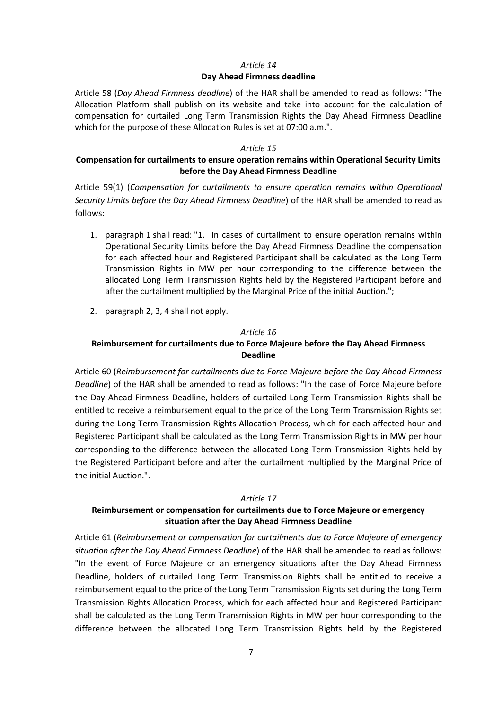# *Article 14* **Day Ahead Firmness deadline**

Article 58 (*Day Ahead Firmness deadline*) of the HAR shall be amended to read as follows: "The Allocation Platform shall publish on its website and take into account for the calculation of compensation for curtailed Long Term Transmission Rights the Day Ahead Firmness Deadline which for the purpose of these Allocation Rules is set at 07:00 a.m.".

#### *Article 15*

# **Compensation for curtailments to ensure operation remains within Operational Security Limits before the Day Ahead Firmness Deadline**

Article 59(1) (*Compensation for curtailments to ensure operation remains within Operational Security Limits before the Day Ahead Firmness Deadline*) of the HAR shall be amended to read as follows:

- 1. paragraph 1 shall read: "1. In cases of curtailment to ensure operation remains within Operational Security Limits before the Day Ahead Firmness Deadline the compensation for each affected hour and Registered Participant shall be calculated as the Long Term Transmission Rights in MW per hour corresponding to the difference between the allocated Long Term Transmission Rights held by the Registered Participant before and after the curtailment multiplied by the Marginal Price of the initial Auction.";
- 2. paragraph 2, 3, 4 shall not apply.

#### *Article 16*

# **Reimbursement for curtailments due to Force Majeure before the Day Ahead Firmness Deadline**

Article 60 (*Reimbursement for curtailments due to Force Majeure before the Day Ahead Firmness Deadline*) of the HAR shall be amended to read as follows: "In the case of Force Majeure before the Day Ahead Firmness Deadline, holders of curtailed Long Term Transmission Rights shall be entitled to receive a reimbursement equal to the price of the Long Term Transmission Rights set during the Long Term Transmission Rights Allocation Process, which for each affected hour and Registered Participant shall be calculated as the Long Term Transmission Rights in MW per hour corresponding to the difference between the allocated Long Term Transmission Rights held by the Registered Participant before and after the curtailment multiplied by the Marginal Price of the initial Auction.".

#### *Article 17*

# **Reimbursement or compensation for curtailments due to Force Majeure or emergency situation after the Day Ahead Firmness Deadline**

Article 61 (*Reimbursement or compensation for curtailments due to Force Majeure of emergency situation after the Day Ahead Firmness Deadline*) of the HAR shall be amended to read as follows: "In the event of Force Majeure or an emergency situations after the Day Ahead Firmness Deadline, holders of curtailed Long Term Transmission Rights shall be entitled to receive a reimbursement equal to the price of the Long Term Transmission Rights set during the Long Term Transmission Rights Allocation Process, which for each affected hour and Registered Participant shall be calculated as the Long Term Transmission Rights in MW per hour corresponding to the difference between the allocated Long Term Transmission Rights held by the Registered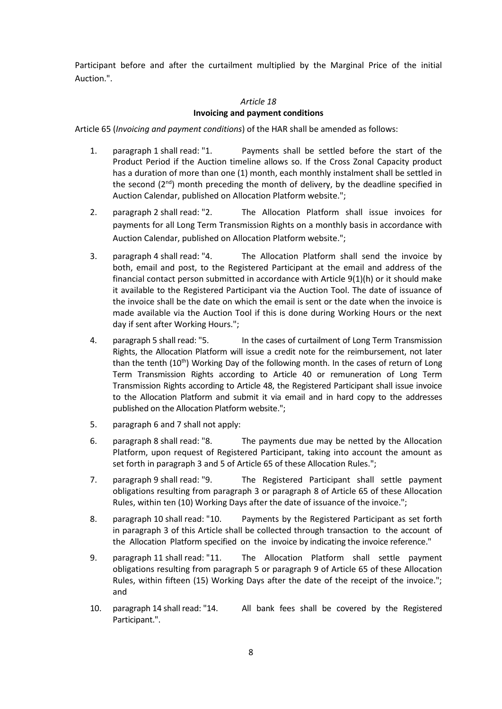Participant before and after the curtailment multiplied by the Marginal Price of the initial Auction.".

#### *Article 18* **Invoicing and payment conditions**

Article 65 (*Invoicing and payment conditions*) of the HAR shall be amended as follows:

- 1. paragraph 1 shall read: "1. Payments shall be settled before the start of the Product Period if the Auction timeline allows so. If the Cross Zonal Capacity product has a duration of more than one (1) month, each monthly instalment shall be settled in the second  $(2<sup>nd</sup>)$  month preceding the month of delivery, by the deadline specified in Auction Calendar, published on Allocation Platform website.";
- 2. paragraph 2 shall read: "2. The Allocation Platform shall issue invoices for payments for all Long Term Transmission Rights on a monthly basis in accordance with Auction Calendar, published on Allocation Platform website.";
- 3. paragraph 4 shall read: "4. The Allocation Platform shall send the invoice by both, email and post, to the Registered Participant at the email and address of the financial contact person submitted in accordance with Article 9(1)(h) or it should make it available to the Registered Participant via the Auction Tool. The date of issuance of the invoice shall be the date on which the email is sent or the date when the invoice is made available via the Auction Tool if this is done during Working Hours or the next day if sent after Working Hours.";
- 4. paragraph 5 shall read: "5. In the cases of curtailment of Long Term Transmission Rights, the Allocation Platform will issue a credit note for the reimbursement, not later than the tenth  $(10<sup>th</sup>)$  Working Day of the following month. In the cases of return of Long Term Transmission Rights according to Article 40 or remuneration of Long Term Transmission Rights according to Article 48, the Registered Participant shall issue invoice to the Allocation Platform and submit it via email and in hard copy to the addresses published on the Allocation Platform website.";
- 5. paragraph 6 and 7 shall not apply:
- 6. paragraph 8 shall read: "8. The payments due may be netted by the Allocation Platform, upon request of Registered Participant, taking into account the amount as set forth in paragraph 3 and 5 of Article 65 of these Allocation Rules.";
- 7. paragraph 9 shall read: "9. The Registered Participant shall settle payment obligations resulting from paragraph 3 or paragraph 8 of Article 65 of these Allocation Rules, within ten (10) Working Days after the date of issuance of the invoice.";
- 8. paragraph 10 shall read: "10. Payments by the Registered Participant as set forth in paragraph 3 of this Article shall be collected through transaction to the account of the Allocation Platform specified on the invoice by indicating the invoice reference."
- 9. paragraph 11 shall read: "11. The Allocation Platform shall settle payment obligations resulting from paragraph 5 or paragraph 9 of Article 65 of these Allocation Rules, within fifteen (15) Working Days after the date of the receipt of the invoice."; and
- 10. paragraph 14 shall read: "14. All bank fees shall be covered by the Registered Participant.".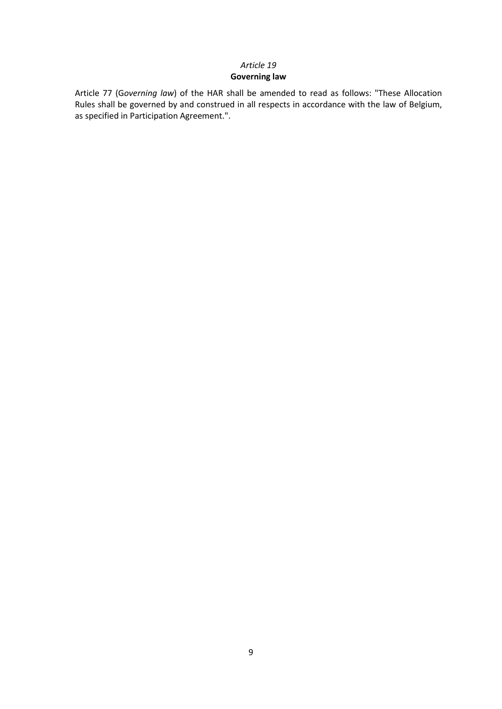## *Article 19* **Governing law**

Article 77 (G*overning law*) of the HAR shall be amended to read as follows: "These Allocation Rules shall be governed by and construed in all respects in accordance with the law of Belgium, as specified in Participation Agreement.".